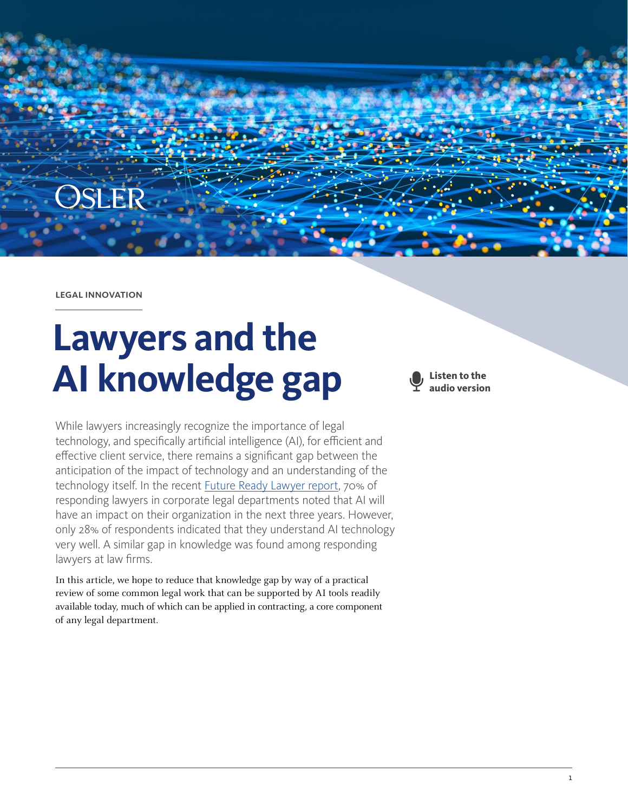

legal innovation

# **Lawyers and the AI knowledge gap**

While lawyers increasingly recognize the importance of legal technology, and specifically artificial intelligence (AI), for efficient and effective client service, there remains a significant gap between the anticipation of the impact of technology and an understanding of the technology itself. In the recent [Future Ready Lawyer report,](https://www.wolterskluwer.com/en/know/future-ready-lawyer-2021) 70% of responding lawyers in corporate legal departments noted that AI will have an impact on their organization in the next three years. However, only 28% of respondents indicated that they understand AI technology very well. A similar gap in knowledge was found among responding lawyers at law firms.

In this article, we hope to reduce that knowledge gap by way of a practical review of some common legal work that can be supported by AI tools readily available today, much of which can be applied in contracting, a core component of any legal department.

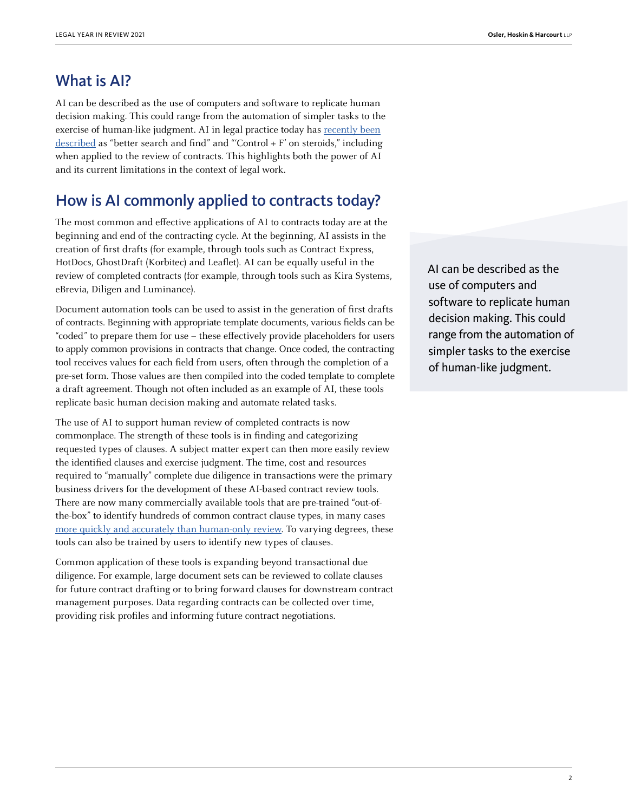#### What is AI?

AI can be described as the use of computers and software to replicate human decision making. This could range from the automation of simpler tasks to the exercise of human-like judgment. AI in legal practice today has [recently been](https://www.legalevolution.org/2021/10/brass-tacks-re-artificial-intelligence-in-legal-264/) [described](https://www.legalevolution.org/2021/10/brass-tacks-re-artificial-intelligence-in-legal-264/) as "better search and find" and "'Control + F' on steroids," including when applied to the review of contracts. This highlights both the power of AI and its current limitations in the context of legal work.

#### How is AI commonly applied to contracts today?

The most common and effective applications of AI to contracts today are at the beginning and end of the contracting cycle. At the beginning, AI assists in the creation of first drafts (for example, through tools such as Contract Express, HotDocs, GhostDraft (Korbitec) and Leaflet). AI can be equally useful in the review of completed contracts (for example, through tools such as Kira Systems, eBrevia, Diligen and Luminance).

Document automation tools can be used to assist in the generation of first drafts of contracts. Beginning with appropriate template documents, various fields can be "coded" to prepare them for use – these effectively provide placeholders for users to apply common provisions in contracts that change. Once coded, the contracting tool receives values for each field from users, often through the completion of a pre-set form. Those values are then compiled into the coded template to complete a draft agreement. Though not often included as an example of AI, these tools replicate basic human decision making and automate related tasks.

The use of AI to support human review of completed contracts is now commonplace. The strength of these tools is in finding and categorizing requested types of clauses. A subject matter expert can then more easily review the identified clauses and exercise judgment. The time, cost and resources required to "manually" complete due diligence in transactions were the primary business drivers for the development of these AI-based contract review tools. There are now many commercially available tools that are pre-trained "out-ofthe-box" to identify hundreds of common contract clause types, in many cases [more quickly and accurately than human-only review](http://jolt.richmond.edu/jolt-archive/v17i3/article11.pdf). To varying degrees, these tools can also be trained by users to identify new types of clauses.

Common application of these tools is expanding beyond transactional due diligence. For example, large document sets can be reviewed to collate clauses for future contract drafting or to bring forward clauses for downstream contract management purposes. Data regarding contracts can be collected over time, providing risk profiles and informing future contract negotiations.

AI can be described as the use of computers and software to replicate human decision making. This could range from the automation of simpler tasks to the exercise of human-like judgment.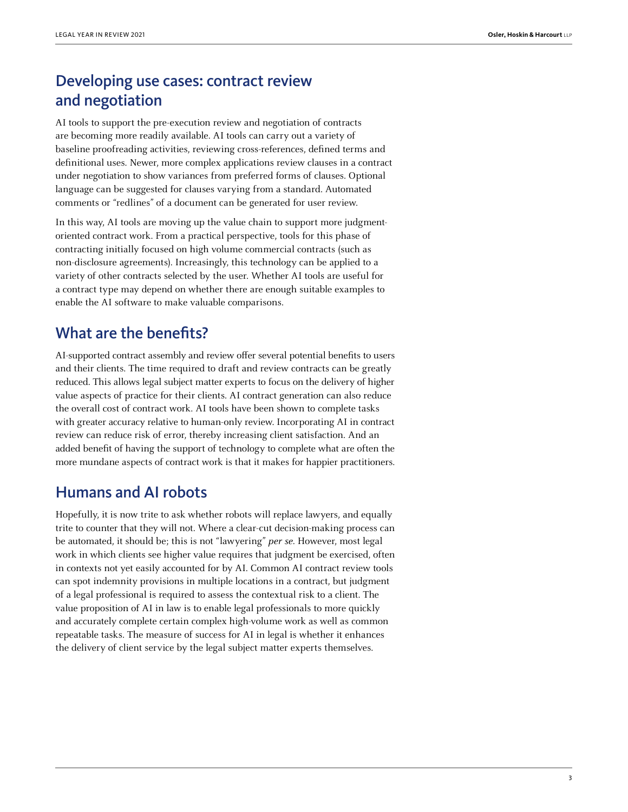## Developing use cases: contract review and negotiation

AI tools to support the pre-execution review and negotiation of contracts are becoming more readily available. AI tools can carry out a variety of baseline proofreading activities, reviewing cross-references, defined terms and definitional uses. Newer, more complex applications review clauses in a contract under negotiation to show variances from preferred forms of clauses. Optional language can be suggested for clauses varying from a standard. Automated comments or "redlines" of a document can be generated for user review.

In this way, AI tools are moving up the value chain to support more judgmentoriented contract work. From a practical perspective, tools for this phase of contracting initially focused on high volume commercial contracts (such as non-disclosure agreements). Increasingly, this technology can be applied to a variety of other contracts selected by the user. Whether AI tools are useful for a contract type may depend on whether there are enough suitable examples to enable the AI software to make valuable comparisons.

### What are the benefits?

AI-supported contract assembly and review offer several potential benefits to users and their clients. The time required to draft and review contracts can be greatly reduced. This allows legal subject matter experts to focus on the delivery of higher value aspects of practice for their clients. AI contract generation can also reduce the overall cost of contract work. AI tools have been shown to complete tasks with greater accuracy relative to human-only review. Incorporating AI in contract review can reduce risk of error, thereby increasing client satisfaction. And an added benefit of having the support of technology to complete what are often the more mundane aspects of contract work is that it makes for happier practitioners.

### Humans and AI robots

Hopefully, it is now trite to ask whether robots will replace lawyers, and equally trite to counter that they will not. Where a clear-cut decision-making process can be automated, it should be; this is not "lawyering" per se. However, most legal work in which clients see higher value requires that judgment be exercised, often in contexts not yet easily accounted for by AI. Common AI contract review tools can spot indemnity provisions in multiple locations in a contract, but judgment of a legal professional is required to assess the contextual risk to a client. The value proposition of AI in law is to enable legal professionals to more quickly and accurately complete certain complex high-volume work as well as common repeatable tasks. The measure of success for AI in legal is whether it enhances the delivery of client service by the legal subject matter experts themselves.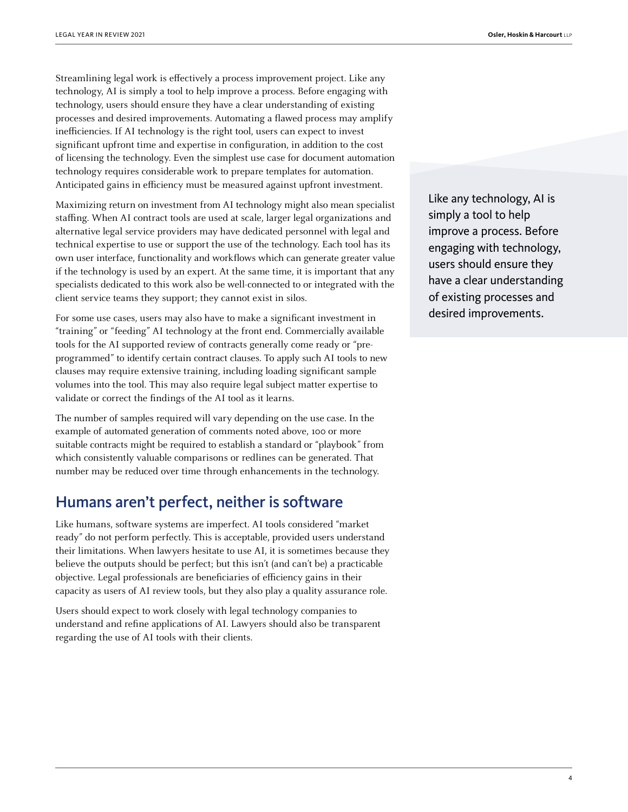Streamlining legal work is effectively a process improvement project. Like any technology, AI is simply a tool to help improve a process. Before engaging with technology, users should ensure they have a clear understanding of existing processes and desired improvements. Automating a flawed process may amplify inefficiencies. If AI technology is the right tool, users can expect to invest significant upfront time and expertise in configuration, in addition to the cost of licensing the technology. Even the simplest use case for document automation technology requires considerable work to prepare templates for automation. Anticipated gains in efficiency must be measured against upfront investment.

Maximizing return on investment from AI technology might also mean specialist staffing. When AI contract tools are used at scale, larger legal organizations and alternative legal service providers may have dedicated personnel with legal and technical expertise to use or support the use of the technology. Each tool has its own user interface, functionality and workflows which can generate greater value if the technology is used by an expert. At the same time, it is important that any specialists dedicated to this work also be well-connected to or integrated with the client service teams they support; they cannot exist in silos.

For some use cases, users may also have to make a significant investment in "training" or "feeding" AI technology at the front end. Commercially available tools for the AI supported review of contracts generally come ready or "preprogrammed" to identify certain contract clauses. To apply such AI tools to new clauses may require extensive training, including loading significant sample volumes into the tool. This may also require legal subject matter expertise to validate or correct the findings of the AI tool as it learns.

The number of samples required will vary depending on the use case. In the example of automated generation of comments noted above, 100 or more suitable contracts might be required to establish a standard or "playbook" from which consistently valuable comparisons or redlines can be generated. That number may be reduced over time through enhancements in the technology.

#### Humans aren't perfect, neither is software

Like humans, software systems are imperfect. AI tools considered "market ready" do not perform perfectly. This is acceptable, provided users understand their limitations. When lawyers hesitate to use AI, it is sometimes because they believe the outputs should be perfect; but this isn't (and can't be) a practicable objective. Legal professionals are beneficiaries of efficiency gains in their capacity as users of AI review tools, but they also play a quality assurance role.

Users should expect to work closely with legal technology companies to understand and refine applications of AI. Lawyers should also be transparent regarding the use of AI tools with their clients.

Like any technology, AI is simply a tool to help improve a process. Before engaging with technology, users should ensure they have a clear understanding of existing processes and desired improvements.